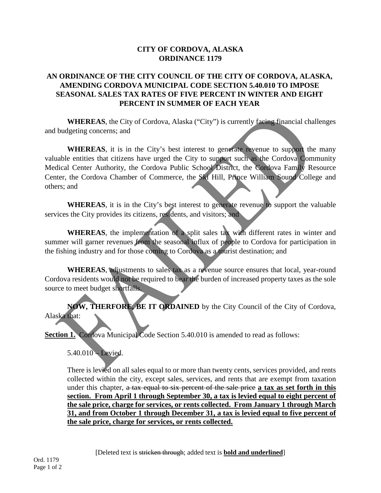## **CITY OF CORDOVA, ALASKA ORDINANCE 1179**

## **AN ORDINANCE OF THE CITY COUNCIL OF THE CITY OF CORDOVA, ALASKA, AMENDING CORDOVA MUNICIPAL CODE SECTION 5.40.010 TO IMPOSE SEASONAL SALES TAX RATES OF FIVE PERCENT IN WINTER AND EIGHT PERCENT IN SUMMER OF EACH YEAR**

**WHEREAS**, the City of Cordova, Alaska ("City") is currently facing financial challenges and budgeting concerns; and

**WHEREAS**, it is in the City's best interest to generate revenue to support the many valuable entities that citizens have urged the City to support such as the Cordova Community Medical Center Authority, the Cordova Public School District, the Cordova Family Resource Center, the Cordova Chamber of Commerce, the Ski Hill, Prince William Sound College and others; and

**WHEREAS**, it is in the City's best interest to generate revenue to support the valuable services the City provides its citizens, residents, and visitors; and

**WHEREAS**, the implementation of a split sales tax with different rates in winter and summer will garner revenues from the seasonal influx of people to Cordova for participation in the fishing industry and for those coming to Cordova as a tourist destination; and

**WHEREAS**, adjustments to sales tax as a revenue source ensures that local, year-round Cordova residents would not be required to bear the burden of increased property taxes as the sole source to meet budget shortfalls.

**NOW, THERFORE, BE IT ORDAINED** by the City Council of the City of Cordova, Alaska that:

**Section 1.** Cordova Municipal Code Section 5.40.010 is amended to read as follows:

5.40.010 – Levied.

There is levied on all sales equal to or more than twenty cents, services provided, and rents collected within the city, except sales, services, and rents that are exempt from taxation under this chapter, a tax equal to six percent of the sale price **a tax as set forth in this section. From April 1 through September 30, a tax is levied equal to eight percent of the sale price, charge for services, or rents collected. From January 1 through March 31, and from October 1 through December 31, a tax is levied equal to five percent of the sale price, charge for services, or rents collected.**